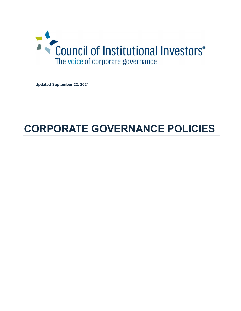

Updated September 22, 2021

# CORPORATE GOVERNANCE POLICIES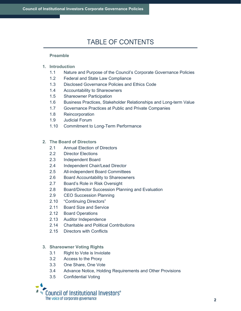# TABLE OF CONTENTS

## Preamble

- 1. Introduction
	- 1.1 Nature and Purpose of the Council's Corporate Governance Policies
	- 1.2 Federal and State Law Compliance
	- 1.3 Disclosed Governance Policies and Ethics Code
	- 1.4 Accountability to Shareowners
	- 1.5 Shareowner Participation
	- 1.6 Business Practices, Stakeholder Relationships and Long-term Value
	- 1.7 Governance Practices at Public and Private Companies
	- 1.8 Reincorporation
	- 1.9 Judicial Forum
	- 1.10 Commitment to Long-Term Performance

### 2. The Board of Directors

- 2.1 Annual Election of Directors
- 2.2 Director Elections
- 2.3 Independent Board
- 2.4 Independent Chair/Lead Director
- 2.5 All-independent Board Committees
- 2.6 Board Accountability to Shareowners
- 2.7 Board's Role in Risk Oversight
- 2.8 Board/Director Succession Planning and Evaluation
- 2.9 CEO Succession Planning
- 2.10 "Continuing Directors"
- 2.11 Board Size and Service
- 2.12 Board Operations
- 2.13 Auditor Independence
- 2.14 Charitable and Political Contributions
- 2.15 Directors with Conflicts

# 3. Shareowner Voting Rights

- 3.1 Right to Vote is Inviolate
- 3.2 Access to the Proxy
- 3.3 One Share, One Vote
- 3.4 Advance Notice, Holding Requirements and Other Provisions
- 3.5 Confidential Voting

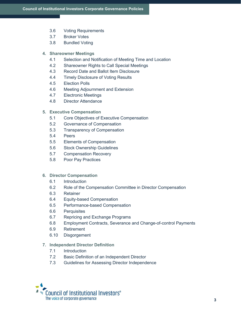- 3.6 Voting Requirements
- 3.7 Broker Votes
- 3.8 Bundled Voting

### 4. Shareowner Meetings

- 4.1 Selection and Notification of Meeting Time and Location
- 4.2 Shareowner Rights to Call Special Meetings
- 4.3 Record Date and Ballot Item Disclosure
- 4.4 Timely Disclosure of Voting Results
- 4.5 Election Polls
- 4.6 Meeting Adjournment and Extension
- 4.7 Electronic Meetings
- 4.8 Director Attendance

### 5. Executive Compensation

- 5.1 Core Objectives of Executive Compensation
- 5.2 Governance of Compensation
- 5.3 Transparency of Compensation
- 5.4 Peers
- 5.5 Elements of Compensation
- 5.6 Stock Ownership Guidelines
- 5.7 Compensation Recovery
- 5.8 Poor Pay Practices

### 6. Director Compensation

- 6.1 Introduction
- 6.2 Role of the Compensation Committee in Director Compensation
- 6.3 Retainer
- 6.4 Equity-based Compensation
- 6.5 Performance-based Compensation
- 6.6 Perquisites
- 6.7 Repricing and Exchange Programs
- 6.8 Employment Contracts, Severance and Change-of-control Payments
- 6.9 Retirement
- 6.10 Disgorgement

### 7. Independent Director Definition

- 7.1 Introduction
- 7.2 Basic Definition of an Independent Director
- 7.3 Guidelines for Assessing Director Independence

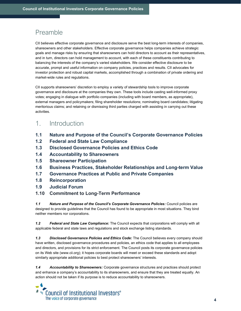# Preamble

CII believes effective corporate governance and disclosure serve the best long-term interests of companies, shareowners and other stakeholders. Effective corporate governance helps companies achieve strategic goals and manage risks by ensuring that shareowners can hold directors to account as their representatives, and in turn, directors can hold management to account, with each of these constituents contributing to balancing the interests of the company's varied stakeholders. We consider effective disclosure to be accurate, prompt and useful information on company policies, practices and results. CII advocates for investor protection and robust capital markets, accomplished through a combination of private ordering and market-wide rules and regulations.

CII supports shareowners' discretion to employ a variety of stewardship tools to improve corporate governance and disclosure at the companies they own. These tools include casting well-informed proxy votes; engaging in dialogue with portfolio companies (including with board members, as appropriate), external managers and policymakers; filing shareholder resolutions; nominating board candidates; litigating meritorious claims; and retaining or dismissing third parties charged with assisting in carrying out these activities.

# 1. Introduction

- 1.1 Nature and Purpose of the Council's Corporate Governance Policies
- 1.2 Federal and State Law Compliance
- 1.3 Disclosed Governance Policies and Ethics Code
- 1.4 Accountability to Shareowners
- 1.5 Shareowner Participation
- 1.6 Business Practices, Stakeholder Relationships and Long-term Value
- 1.7 Governance Practices at Public and Private Companies
- 1.8 Reincorporation
- 1.9 Judicial Forum
- 1.10 Commitment to Long-Term Performance

1.1 Nature and Purpose of the Council's Corporate Governance Policies: Council policies are designed to provide guidelines that the Council has found to be appropriate in most situations. They bind neither members nor corporations.

1.2 Federal and State Law Compliance: The Council expects that corporations will comply with all applicable federal and state laws and regulations and stock exchange listing standards.

1.3 Disclosed Governance Policies and Ethics Code: The Council believes every company should have written, disclosed governance procedures and policies, an ethics code that applies to all employees and directors, and provisions for its strict enforcement. The Council posts its corporate governance policies on its Web site (www.cii.org); it hopes corporate boards will meet or exceed these standards and adopt similarly appropriate additional policies to best protect shareowners' interests.

1.4 Accountability to Shareowners: Corporate governance structures and practices should protect and enhance a company's accountability to its shareowners, and ensure that they are treated equally. An action should not be taken if its purpose is to reduce accountability to shareowners.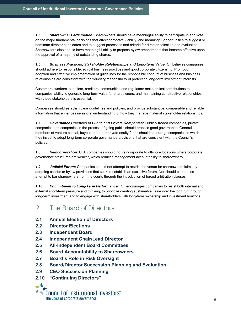1.5 Shareowner Participation: Shareowners should have meaningful ability to participate in and vote on the major fundamental decisions that affect corporate viability, and meaningful opportunities to suggest or nominate director candidates and to suggest processes and criteria for director selection and evaluation. Shareowners also should have meaningful ability to propose bylaw amendments that become effective upon the approval of a majority of outstanding shares.

1.6 Business Practices, Stakeholder Relationships and Long-term Value: CII believes companies should adhere to responsible, ethical business practices and good corporate citizenship. Promotion, adoption and effective implementation of guidelines for the responsible conduct of business and business relationships are consistent with the fiduciary responsibility of protecting long-term investment interests.

Customers, workers, suppliers, creditors, communities and regulators make critical contributions to companies' ability to generate long-term value for shareowners, and maintaining constructive relationships with these stakeholders is essential.

Companies should establish clear guidelines and policies, and provide substantive, comparable and reliable information that enhances investors' understanding of how they manage material stakeholder relationships.

1.7 Governance Practices at Public and Private Companies: Publicly traded companies, private companies and companies in the process of going public should practice good governance. General members of venture capital, buyout and other private equity funds should encourage companies in which they invest to adopt long-term corporate governance provisions that are consistent with the Council's policies.

1.8 Reincorporation: U.S. companies should not reincorporate to offshore locations where corporate governance structures are weaker, which reduces management accountability to shareowners.

1.9 Judicial Forum: Companies should not attempt to restrict the venue for shareowner claims by adopting charter or bylaw provisions that seek to establish an exclusive forum. Nor should companies attempt to bar shareowners from the courts through the introduction of forced arbitration clauses.

1.10 Commitment to Long-Term Performance: CII encourages companies to resist both internal and external short-term pressure and thinking, to prioritize creating sustainable value over the long run through long-term investment and to engage with shareholders with long-term ownership and investment horizons.

# 2. The Board of Directors

- 2.1 Annual Election of Directors
- 2.2 Director Elections
- 2.3 Independent Board
- 2.4 Independent Chair/Lead Director
- 2.5 All-independent Board Committees
- 2.6 Board Accountability to Shareowners
- 2.7 Board's Role in Risk Oversight
- 2.8 Board/Director Succession Planning and Evaluation
- 2.9 CEO Succession Planning
- 2.10 "Continuing Directors"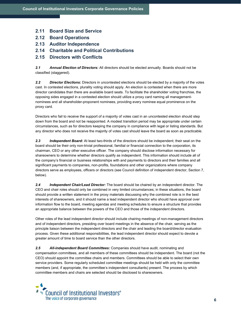- 2.11 Board Size and Service
- 2.12 Board Operations
- 2.13 Auditor Independence
- 2.14 Charitable and Political Contributions

### 2.15 Directors with Conflicts

2.1 Annual Election of Directors: All directors should be elected annually. Boards should not be classified (staggered).

2.2 Director Elections: Directors in uncontested elections should be elected by a majority of the votes cast. In contested elections, plurality voting should apply. An election is contested when there are more director candidates than there are available board seats. To facilitate the shareholder voting franchise, the opposing sides engaged in a contested election should utilize a proxy card naming all managementnominees and all shareholder-proponent nominees, providing every nominee equal prominence on the proxy card.

Directors who fail to receive the support of a majority of votes cast in an uncontested election should step down from the board and not be reappointed. A modest transition period may be appropriate under certain circumstances, such as for directors keeping the company in compliance with legal or listing standards. But any director who does not receive the majority of votes cast should leave the board as soon as practicable.

2.3 Independent Board: At least two-thirds of the directors should be independent; their seat on the board should be their only non-trivial professional, familial or financial connection to the corporation, its chairman, CEO or any other executive officer. The company should disclose information necessary for shareowners to determine whether directors qualify as independent. This information should include all of the company's financial or business relationships with and payments to directors and their families and all significant payments to companies, non-profits, foundations and other organizations where company directors serve as employees, officers or directors (see Council definition of independent director, Section 7, below).

2.4 Independent Chair/Lead Director: The board should be chaired by an independent director. The CEO and chair roles should only be combined in very limited circumstances; in these situations, the board should provide a written statement in the proxy materials discussing why the combined role is in the best interests of shareowners, and it should name a lead independent director who should have approval over information flow to the board, meeting agendas and meeting schedules to ensure a structure that provides an appropriate balance between the powers of the CEO and those of the independent directors.

Other roles of the lead independent director should include chairing meetings of non-management directors and of independent directors, presiding over board meetings in the absence of the chair, serving as the principle liaison between the independent directors and the chair and leading the board/director evaluation process. Given these additional responsibilities, the lead independent director should expect to devote a greater amount of time to board service than the other directors.

2.5 All-independent Board Committees: Companies should have audit, nominating and compensation committees, and all members of these committees should be independent. The board (not the CEO) should appoint the committee chairs and members. Committees should be able to select their own service providers. Some regularly scheduled committee meetings should be held with only the committee members (and, if appropriate, the committee's independent consultants) present. The process by which committee members and chairs are selected should be disclosed to shareowners.

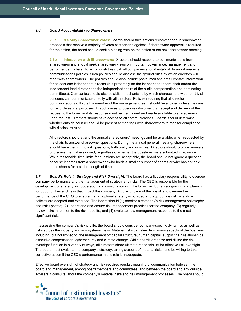### 2.6 Board Accountability to Shareowners

2.6a Majority Shareowner Votes: Boards should take actions recommended in shareowner proposals that receive a majority of votes cast for and against. If shareowner approval is required for the action, the board should seek a binding vote on the action at the next shareowner meeting.

2.6b Interaction with Shareowners: Directors should respond to communications from shareowners and should seek shareowner views on important governance, management and performance matters. To accomplish this goal, all companies should establish board-shareowner communications policies. Such policies should disclose the ground rules by which directors will meet with shareowners. The policies should also include postal mail and email contact information for at least one independent director (but preferably for the independent board chair and/or the independent lead director and the independent chairs of the audit, compensation and nominating committees). Companies should also establish mechanisms by which shareowners with non-trivial concerns can communicate directly with all directors. Policies requiring that all director communication go through a member of the management team should be avoided unless they are for record-keeping purposes. In such cases, procedures documenting receipt and delivery of the request to the board and its response must be maintained and made available to shareowners upon request. Directors should have access to all communications. Boards should determine whether outside counsel should be present at meetings with shareowners to monitor compliance with disclosure rules.

All directors should attend the annual shareowners' meetings and be available, when requested by the chair, to answer shareowner questions. During the annual general meeting, shareowners should have the right to ask questions, both orally and in writing. Directors should provide answers or discuss the matters raised, regardless of whether the questions were submitted in advance. While reasonable time limits for questions are acceptable, the board should not ignore a question because it comes from a shareowner who holds a smaller number of shares or who has not held those shares for a certain length of time.

2.7 Board's Role in Strategy and Risk Oversight: The board has a fiduciary responsibility to oversee company performance and the management of strategy and risks. The CEO is responsible for the development of strategy, in cooperation and consultation with the board, including recognizing and planning for opportunities and risks that impact the company. A core function of the board is to oversee the performance of the CEO to ensure that an optimal strategy is pursued and appropriate risk mitigation policies are adopted and executed. The board should (1) monitor a company's risk management philosophy and risk appetite; (2) understand and ensure risk management practices for the company; (3) regularly review risks in relation to the risk appetite; and (4) evaluate how management responds to the most significant risks.

In assessing the company's risk profile, the board should consider company-specific dynamics as well as risks across the industry and any systemic risks. Material risks can stem from many aspects of the business, including, but not limited to, the management of: capital structure, human capital, supply chain relationships, executive compensation, cybersecurity and climate change. While boards organize and divide the risk oversight function in a variety of ways, all directors share ultimate responsibility for effective risk oversight. The board must evaluate the company's strategy, taking account of material risks, and be willing to take corrective action if the CEO's performance in this role is inadequate.

Effective board oversight of strategy and risk requires regular, meaningful communication between the board and management, among board members and committees, and between the board and any outside advisers it consults, about the company's material risks and risk management processes. The board should

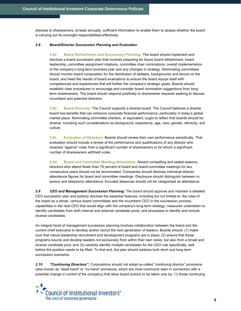disclose to shareowners, at least annually, sufficient information to enable them to assess whether the board is carrying out its oversight responsibilities effectively.

### 2.8 Board/Director Succession Planning and Evaluation

2.8a Board Refreshment and Succession Planning: The board should implement and disclose a board succession plan that involves preparing for future board refreshment, board leadership, committee assignment rotations, committee chair nominations, overall implementation of the company's long-term business plan and any changes in strategy. Nominating committees should monitor board composition for the distribution of skillsets, backgrounds and tenure on the board, and heed the results of board evaluations to ensure the board equips itself with competencies and experiences that will further the company's strategic goals. Boards should establish clear procedures to encourage and consider board nomination suggestions from longterm shareowners. The board should respond positively to shareowner requests seeking to discuss incumbent and potential directors.

2.8b Board Diversity: The Council supports a diverse board. The Council believes a diverse board has benefits that can enhance corporate financial performance, particularly in today's global market place. Nominating committee charters, or equivalent, ought to reflect that boards should be diverse, including such considerations as background, experience, age, race, gender, ethnicity, and culture.

2.8c Evaluation of Directors: Boards should review their own performance periodically. That evaluation should include a review of the performance and qualifications of any director who received "against" votes from a significant number of shareowners or for whom a significant number of shareowners withheld votes.

2.8d Board and Committee Meeting Attendance: Absent compelling and stated reasons, directors who attend fewer than 75 percent of board and board-committee meetings for two consecutive years should not be renominated. Companies should disclose individual director attendance figures for board and committee meetings. Disclosure should distinguish between inperson and telephonic attendance. Excused absences should not be categorized as attendance.

2.9 CEO and Management Succession Planning: The board should approve and maintain a detailed CEO succession plan and publicly disclose the essential features, including but not limited to: the roles of the board as a whole, various board committees and the incumbent CEO in the succession process; capabilities in the next CEO that would align with the company's long-term strategy; measures undertaken to identify candidates from both internal and external candidate pools; and processes to identify and include diverse candidates.

An integral facet of management succession planning involves collaboration between the board and the current chief executive to develop and/or recruit the next generation of leaders. Boards should: (1) make sure that robust leadership recruitment and development programs are in place; (2) ensure that those programs source and develop leaders not exclusively from within their own ranks, but also from a broad and diverse candidate pool; and (3) carefully identify multiple candidates for the CEO role specifically, well before the position needs to be filled. To that end, the plan should address both short and long-term succession scenarios.

2.10 "Continuing Directors": Corporations should not adopt so-called "continuing director" provisions (also known as "dead-hand" or "no-hand" provisions, which are most commonly seen in connection with a potential change in control of the company) that allow board actions to be taken only by: (1) those continuing

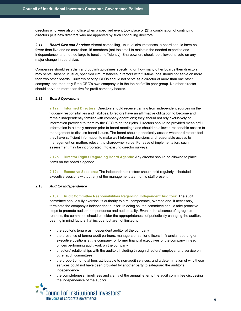directors who were also in office when a specified event took place or (2) a combination of continuing directors plus new directors who are approved by such continuing directors.

2.11 Board Size and Service: Absent compelling, unusual circumstances, a board should have no fewer than five and no more than 15 members (not too small to maintain the needed expertise and independence, and not too large to function efficiently). Shareowners should be allowed to vote on any major change in board size.

Companies should establish and publish guidelines specifying on how many other boards their directors may serve. Absent unusual, specified circumstances, directors with full-time jobs should not serve on more than two other boards. Currently serving CEOs should not serve as a director of more than one other company, and then only if the CEO's own company is in the top half of its peer group. No other director should serve on more than five for-profit company boards.

### 2.12 Board Operations

2.12a Informed Directors: Directors should receive training from independent sources on their fiduciary responsibilities and liabilities. Directors have an affirmative obligation to become and remain independently familiar with company operations; they should not rely exclusively on information provided to them by the CEO to do their jobs. Directors should be provided meaningful information in a timely manner prior to board meetings and should be allowed reasonable access to management to discuss board issues. The board should periodically assess whether directors feel they have sufficient information to make well-informed decisions and reasonable access to management on matters relevant to shareowner value. For ease of implementation, such assessment may be incorporated into existing director surveys.

2.12b Director Rights Regarding Board Agenda: Any director should be allowed to place items on the board's agenda.

2.12c Executive Sessions: The independent directors should hold reqularly scheduled executive sessions without any of the management team or its staff present.

### 2.13 Auditor Independence

2.13a Audit Committee Responsibilities Regarding Independent Auditors: The audit committee should fully exercise its authority to hire, compensate, oversee and, if necessary, terminate the company's independent auditor. In doing so, the committee should take proactive steps to promote auditor independence and audit quality. Even in the absence of egregious reasons, the committee should consider the appropriateness of periodically changing the auditor, bearing in mind factors that include, but are not limited to:

- the auditor's tenure as independent auditor of the company
- the presence of former audit partners, managers or senior officers in financial reporting or executive positions at the company, or former financial executives of the company in lead offices performing audit work on the company
- directors' relationships with the auditor, including through directors' employer and service on other audit committees
- the proportion of total fees attributable to non-audit services, and a determination of why these services could not have been provided by another party to safeguard the auditor's independence
- the completeness, timeliness and clarity of the annual letter to the audit committee discussing the independence of the auditor
- Council of Institutional Investors® The voice of corporate governance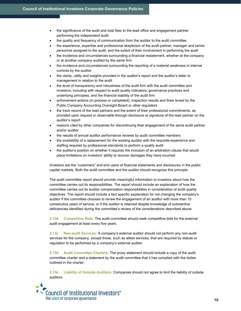- the significance of the audit and total fees to the lead office and engagement partner performing the independent audit
- the quality and frequency of communication from the auditor to the audit committee
- the experience, expertise and professional skepticism of the audit partner, manager and senior personnel assigned to the audit, and the extent of their involvement in performing the audit
- the incidence and circumstances surrounding a financial restatement, whether at the company or at another company audited by the same firm
- the incidence and circumstances surrounding the reporting of a material weakness in internal controls by the auditor
- the clarity, utility and insights provided in the auditor's report and the auditor's letter to management in relation to the audit
- the level of transparency and robustness of the audit firm with the audit committee and investors, including with respect to audit quality indicators, governance practices and underlying principles, and the financial stability of the audit firm
- enforcement actions (in process or completed), inspection results and fines levied by the Public Company Accounting Oversight Board or other regulators
- the track record of the lead partners and the extent of their professional commitments, as provided upon request or observable through disclosure or signature of the lead partner on the auditor's report
- reasons cited by other companies for discontinuing their engagement of the same audit partner and/or auditor
- the results of annual auditor performance reviews by audit committee members
- the availability of a replacement for the existing auditor with the requisite experience and staffing required by professional standards to perform a quality audit
- the auditor's position on whether it requires the inclusion of an arbitration clause that would place limitations on investors' ability to recover damages they have incurred

Investors are the "customers" and end users of financial statements and disclosures in the public capital markets. Both the audit committee and the auditor should recognize this principle.

The audit committee report should provide meaningful information to investors about how the committee carries out its responsibilities. The report should include an explanation of how the committee carries out its auditor compensation responsibilities in consideration of audit quality objectives. The report should include a fact specific explanation for not changing the company's auditor if the committee chooses to renew the engagement of an auditor with more than 10 consecutive years of service, or if the auditor is retained despite knowledge of substantive deficiencies identified during the committee's review of the considerations described above.

2.13b Competitive Bids: The audit committee should seek competitive bids for the external audit engagement at least every five years.

2.13c Non-audit Services: A company's external auditor should not perform any non-audit services for the company, except those, such as attest services, that are required by statute or regulation to be performed by a company's external auditor.

2.13d Audit Committee Charters: The proxy statement should include a copy of the audit committee charter and a statement by the audit committee that it has complied with the duties outlined in the charter.

2.13e Liability of Outside Auditors: Companies should not agree to limit the liability of outside auditors.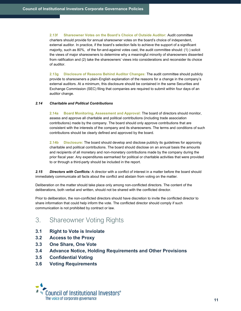2.13f Shareowner Votes on the Board's Choice of Outside Auditor: Audit committee charters should provide for annual shareowner votes on the board's choice of independent, external auditor. In practice, if the board's selection fails to achieve the support of a significant majority, such as 80%, of the for-and-against votes cast, the audit committee should: (1) ) solicit the views of major shareowners to determine why a meaningful minority of shareowners dissented from ratification and (2) take the shareowners' views into considerations and reconsider its choice of auditor.

2.13g Disclosure of Reasons Behind Auditor Changes: The audit committee should publicly provide to shareowners a plain-English explanation of the reasons for a change in the company's external auditors. At a minimum, this disclosure should be contained in the same Securities and Exchange Commission (SEC) filing that companies are required to submit within four days of an auditor change.

### 2.14 Charitable and Political Contributions

2.14a Board Monitoring, Assessment and Approval: The board of directors should monitor, assess and approve all charitable and political contributions (including trade association contributions) made by the company. The board should only approve contributions that are consistent with the interests of the company and its shareowners. The terms and conditions of such contributions should be clearly defined and approved by the board.

2.14b Disclosure: The board should develop and disclose publicly its guidelines for approving charitable and political contributions. The board should disclose on an annual basis the amounts and recipients of all monetary and non-monetary contributions made by the company during the prior fiscal year. Any expenditures earmarked for political or charitable activities that were provided to or through a third-party should be included in the report.

2.15 Directors with Conflicts: A director with a conflict of interest in a matter before the board should immediately communicate all facts about the conflict and abstain from voting on the matter.

Deliberation on the matter should take place only among non-conflicted directors. The content of the deliberations, both verbal and written, should not be shared with the conflicted director.

Prior to deliberation, the non-conflicted directors should have discretion to invite the conflicted director to share information that could help inform the vote. The conflicted director should comply if such communication is not prohibited by contract or law.

# 3. Shareowner Voting Rights

- 3.1 Right to Vote is Inviolate
- 3.2 Access to the Proxy
- 3.3 One Share, One Vote
- 3.4 Advance Notice, Holding Requirements and Other Provisions
- 3.5 Confidential Voting
- 3.6 Voting Requirements

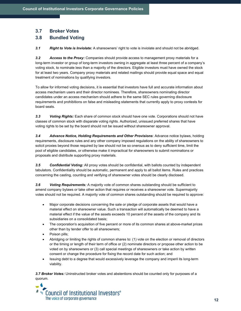# 3.7 Broker Votes

## 3.8 Bundled Voting

3.1 Right to Vote is Inviolate: A shareowners' right to vote is inviolate and should not be abridged.

3.2 Access to the Proxy: Companies should provide access to management proxy materials for a long-term investor or group of long-term investors owning in aggregate at least three percent of a company's voting stock, to nominate less than a majority of the directors. Eligible investors must have owned the stock for at least two years. Company proxy materials and related mailings should provide equal space and equal treatment of nominations by qualifying investors.

To allow for informed voting decisions, it is essential that investors have full and accurate information about access mechanism users and their director nominees. Therefore, shareowners nominating director candidates under an access mechanism should adhere to the same SEC rules governing disclosure requirements and prohibitions on false and misleading statements that currently apply to proxy contests for board seats.

3.3 Voting Rights: Each share of common stock should have one vote. Corporations should not have classes of common stock with disparate voting rights. Authorized, unissued preferred shares that have voting rights to be set by the board should not be issued without shareowner approval.

3.4 Advance Notice, Holding Requirements and Other Provisions: Advance notice bylaws, holding requirements, disclosure rules and any other company imposed regulations on the ability of shareowners to solicit proxies beyond those required by law should not be so onerous as to deny sufficient time, limit the pool of eligible candidates, or otherwise make it impractical for shareowners to submit nominations or proposals and distribute supporting proxy materials.

3.5 Confidential Voting: All proxy votes should be confidential, with ballots counted by independent tabulators. Confidentiality should be automatic, permanent and apply to all ballot items. Rules and practices concerning the casting, counting and verifying of shareowner votes should be clearly disclosed.

3.6 Voting Requirements: A majority vote of common shares outstanding should be sufficient to amend company bylaws or take other action that requires or receives a shareowner vote. Supermajority votes should not be required. A majority vote of common shares outstanding should be required to approve:

- Major corporate decisions concerning the sale or pledge of corporate assets that would have a material effect on shareowner value. Such a transaction will automatically be deemed to have a material effect if the value of the assets exceeds 10 percent of the assets of the company and its subsidiaries on a consolidated basis:
- The corporation's acquisition of five percent or more of its common shares at above-market prices other than by tender offer to all shareowners;
- Poison pills;
- Abridging or limiting the rights of common shares to: (1) vote on the election or removal of directors or the timing or length of their term of office or (2) nominate directors or propose other action to be voted on by shareowners or (3) call special meetings of shareowners or take action by written consent or change the procedure for fixing the record date for such action; and
- Issuing debt to a degree that would excessively leverage the company and imperil its long-term viability.

3.7 Broker Votes: Uninstructed broker votes and abstentions should be counted only for purposes of a quorum.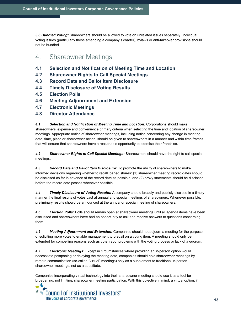3.8 Bundled Voting: Shareowners should be allowed to vote on unrelated issues separately. Individual voting issues (particularly those amending a company's charter), bylaws or anti-takeover provisions should not be bundled.

# 4. Shareowner Meetings

- 4.1 Selection and Notification of Meeting Time and Location
- 4.2 Shareowner Rights to Call Special Meetings
- 4.3 Record Date and Ballot Item Disclosure
- 4.4 Timely Disclosure of Voting Results
- 4.5 Election Polls
- 4.6 Meeting Adjournment and Extension
- 4.7 Electronic Meetings
- 4.8 Director Attendance

4.1 Selection and Notification of Meeting Time and Location: Corporations should make shareowners' expense and convenience primary criteria when selecting the time and location of shareowner meetings. Appropriate notice of shareowner meetings, including notice concerning any change in meeting date, time, place or shareowner action, should be given to shareowners in a manner and within time frames that will ensure that shareowners have a reasonable opportunity to exercise their franchise.

4.2 Shareowner Rights to Call Special Meetings: Shareowners should have the right to call special meetings.

4.3 Record Date and Ballot Item Disclosure: To promote the ability of shareowners to make informed decisions regarding whether to recall loaned shares: (1) shareowner meeting record dates should be disclosed as far in advance of the record date as possible, and (2) proxy statements should be disclosed before the record date passes whenever possible.

4.4 Timely Disclosure of Voting Results: A company should broadly and publicly disclose in a timely manner the final results of votes cast at annual and special meetings of shareowners. Whenever possible, preliminary results should be announced at the annual or special meeting of shareowners.

4.5 **Election Polls:** Polls should remain open at shareowner meetings until all agenda items have been discussed and shareowners have had an opportunity to ask and receive answers to questions concerning them.

4.6 Meeting Adjournment and Extension: Companies should not adjourn a meeting for the purpose of soliciting more votes to enable management to prevail on a voting item. A meeting should only be extended for compelling reasons such as vote fraud, problems with the voting process or lack of a quorum.

4.7 **Electronic Meetings:** Except in circumstances where providing an in-person option would necessitate postponing or delaying the meeting date, companies should hold shareowner meetings by remote communication (so-called "virtual" meetings) only as a supplement to traditional in-person shareowner meetings, not as a substitute.

Companies incorporating virtual technology into their shareowner meeting should use it as a tool for broadening, not limiting, shareowner meeting participation. With this objective in mind, a virtual option, if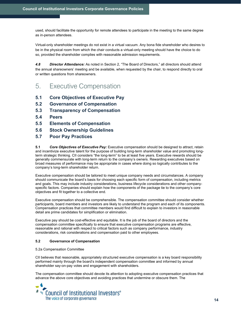used, should facilitate the opportunity for remote attendees to participate in the meeting to the same degree as in-person attendees.

Virtual-only shareholder meetings do not exist in a virtual vacuum. Any bona fide shareholder who desires to be in the physical room from which the chair conducts a virtual-only meeting should have the choice to do so, provided the shareholder complies with reasonable admission requirements.

4.8 Director Attendance: As noted in Section 2, "The Board of Directors," all directors should attend the annual shareowners' meeting and be available, when requested by the chair, to respond directly to oral or written questions from shareowners.

- 5. Executive Compensation
- 5.1 Core Objectives of Executive Pay
- 5.2 Governance of Compensation
- 5.3 Transparency of Compensation
- 5.4 Peers
- 5.5 Elements of Compensation
- 5.6 Stock Ownership Guidelines
- 5.7 Poor Pay Practices

5.1 Core Objectives of Executive Pay: Executive compensation should be designed to attract, retain and incentivize executive talent for the purpose of building long-term shareholder value and promoting longterm strategic thinking. CII considers "the long-term" to be at least five years. Executive rewards should be generally commensurate with long-term return to the company's owners. Rewarding executives based on broad measures of performance may be appropriate in cases where doing so logically contributes to the company's long-term shareholder return.

Executive compensation should be tailored to meet unique company needs and circumstances. A company should communicate the board's basis for choosing each specific form of compensation, including metrics and goals. This may include industry considerations, business lifecycle considerations and other companyspecific factors. Companies should explain how the components of the package tie to the company's core objectives and fit together to a collective end.

Executive compensation should be comprehensible. The compensation committee should consider whether participants, board members and investors are likely to understand the program and each of its components. Compensation practices that committee members would find difficult to explain to investors in reasonable detail are prime candidates for simplification or elimination.

Executive pay should be cost-effective and equitable. It is the job of the board of directors and the compensation committee specifically to ensure that executive compensation programs are effective, reasonable and rational with respect to critical factors such as company performance, industry considerations, risk considerations and compensation paid to other employees.

### 5.2 Governance of Compensation

#### 5.2a Compensation Committee

CII believes that reasonable, appropriately structured executive compensation is a key board responsibility performed mainly through the board's independent compensation committee and informed by annual shareholder say-on-pay votes and engagement with shareholders.

The compensation committee should devote its attention to adopting executive compensation practices that advance the above core objectives and avoiding practices that undermine or obscure them. The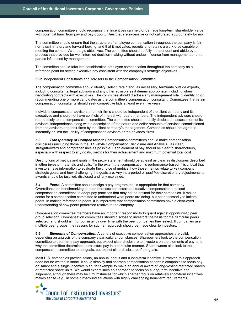compensation committee should recognize that incentives can help or damage long-term shareholder value, with potential harm from pay and pay opportunities that are excessive or not calibrated appropriately for risk.

The committee should ensure that the structure of employee compensation throughout the company is fair, non-discriminatory and forward-looking, and that it motivates, recruits and retains a workforce capable of meeting the company's strategic objectives. The committee should be fully independent and abide by a process that provides for well-informed decision-making without undue influence from management or third parties influenced by management.

The committee should take into consideration employee compensation throughout the company as a reference point for setting executive pay consistent with the company's strategic objectives.

5.2b Independent Consultants and Advisors to the Compensation Committee

The compensation committee should identify, select, retain and, as necessary, terminate outside experts, including consultants, legal advisors and any other advisors as it deems appropriate, including when negotiating contracts with executives. The committee should disclose any management role in identifying or recommending one or more candidates as the committee's compensation consultant. Committees that retain compensation consultants should seek competitive bids at least every five years.

Individual compensation advisors and their firms should be independent of the client company and its executives and should not have conflicts of interest with board members. The independent advisors should report solely to the compensation committee. The committee should annually disclose an assessment of its advisors' independence along with a description of the nature and dollar amounts of services commissioned from the advisors and their firms by the client company's management. Companies should not agree to indemnify or limit the liability of compensation advisors or the advisors' firms.

5.3 **Transparency of Compensation:** Compensation committees should make compensation disclosures (including those in the U.S.-style Compensation Disclosure and Analysis), as clear, straightforward and comprehensible as possible. Each element of pay should be clear to shareholders, especially with respect to any goals, metrics for their achievement and maximum potential total cost.

Descriptions of metrics and goals in the proxy statement should be at least as clear as disclosures described in other investor materials and calls. To the extent that compensation is performance-based, it is critical that investors have information to evaluate the choice of metrics, how those metrics relate to key company strategic goals, and how challenging the goals are. Any intra-period or post hoc discretionary adjustments to awards should be justified, disclosed and fully explained.

5.4 Peers: A committee should design a pay program that is appropriate for that company. Overreliance on benchmarking to peer practices can escalate executive compensation and lead compensation committees to adopt pay practices that may not be optimal for their companies. It makes sense for a compensation committee to understand what peers are doing, but not necessarily to imitate peers. In making reference to peers, it is imperative that compensation committees have a clear-eyed understanding of how peers performed relative to the company.

Compensation committee members have an important responsibility to guard against opportunistic peer group selection. Compensation committees should disclose to investors the basis for the particular peers selected, and should aim for consistency over time with the peer companies they select. If companies use multiple peer groups, the reasons for such an approach should be made clear to investors.

**5.5** Elements of Compensation: A variety of executive compensation approaches are valid, depending on analysis of the company's particular circumstances. Shareowners look to the compensation committee to determine pay approach, but expect clear disclosure to investors on the elements of pay, and why the committee determined to structure pay in a particular manner. Shareowners also look to the compensation committee to set goals, but expect clear disclosure of the goals.

Most U.S. companies provide salary, an annual bonus and a long-term incentive. However, this approach need not be written in stone. It could simplify and sharpen compensation at certain companies to focus pay on salary and a single incentive plan, for example to make an annual award of long-vesting restricted shares or restricted share units. We would expect such an approach to focus on a long-term incentive and alignment, although there may be circumstances for which sharper focus on relatively short-term incentives makes sense (e.g., in some turnaround situations with highly challenging near-term requirements).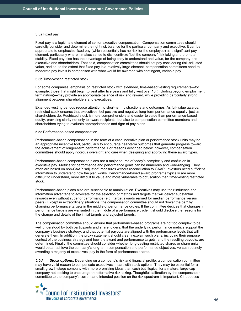#### 5.5a Fixed pay

Fixed pay is a legitimate element of senior executive compensation. Compensation committees should carefully consider and determine the right risk balance for the particular company and executive. It can be appropriate to emphasize fixed pay (which essentially has no risk for the employee) as a significant pay element, particularly where it makes sense to disincentivize "bet the company" risk taking and promote stability. Fixed pay also has the advantage of being easy to understand and value, for the company, the executive and shareholders. That said, compensation committees should set pay considering risk-adjusted value, and so, to the extent that fixed pay is a relatively large element, compensation committees need to moderate pay levels in comparison with what would be awarded with contingent, variable pay.

#### 5.5b Time-vesting restricted stock

For some companies, emphasis on restricted stock with extended, time-based vesting requirements—for example, those that might begin to vest after five years and fully vest over 10 (including beyond employment termination)—may provide an appropriate balance of risk and reward, while providing particularly strong alignment between shareholders and executives.

Extended vesting periods reduce attention to short-term distractions and outcomes. As full-value awards, restricted stock ensures that executives feel positive and negative long-term performance equally, just as shareholders do. Restricted stock is more comprehensible and easier to value than performance-based equity, providing clarity not only to award recipients, but also to compensation committee members and shareholders trying to evaluate appropriateness and rigor of pay plans.

#### 5.5c Performance-based compensation

Performance-based compensation in the form of a cash incentive plan or performance stock units may be an appropriate incentive tool, particularly to encourage near-term outcomes that generate progress toward the achievement of longer-term performance. For reasons described below, however, compensation committees should apply rigorous oversight and care when designing and approving these award types.

Performance-based compensation plans are a major source of today's complexity and confusion in executive pay. Metrics for performance and performance goals can be numerous and wide-ranging. They often are based on non-GAAP "adjusted" measures without reconciliation to GAAP. Investors need sufficient information to understand how the plan works. Performance-based award programs typically are more difficult to understand, more difficult to value and more vulnerable to obfuscation than time-vesting restricted stock.

Performance-based plans also are susceptible to manipulation. Executives may use their influence and information advantage to advocate for the selection of metrics and targets that will deliver substantial rewards even without superior performance (e.g., target awards earned for median performance versus peers). Except in extraordinary situations, the compensation committee should not "lower the bar" by changing performance targets in the middle of performance cycles. If the committee decides that changes in performance targets are warranted in the middle of a performance cycle, it should disclose the reasons for the change and details of the initial targets and adjusted targets.

The compensation committee should ensure that performance-based programs are not too complex to be well understood by both participants and shareholders, that the underlying performance metrics support the company's business strategy, and that potential payouts are aligned with the performance levels that will generate them. In addition, the proxy statement should clearly explain such plans, including their purpose in context of the business strategy and how the award and performance targets, and the resulting payouts, are determined. Finally, the committee should consider whether long-vesting restricted shares or share units would better achieve the company's long-term compensation and performance objectives, versus routinely awarding a majority of executives' pay in the form of performance shares.

5.5d Stock options: Depending on a company's risk and financial profile, a compensation committee may have valid reason to compensate executives in part with stock options. They may be essential for a small, growth-stage company with more promising ideas than cash but illogical for a mature, large-cap company not seeking to encourage transformative risk-taking. Thoughtful calibration by the compensation committee to the company's current and intended position on the risk spectrum is important. CII opposes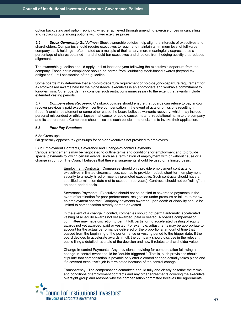option backdating and option repricing, whether achieved through amending exercise prices or cancelling and replacing outstanding options with lower exercise prices.

5.6 Stock Ownership Guidelines: Stock ownership policies help align the interests of executives and shareholders. Companies should require executives to reach and maintain a minimum level of full-value company stock holdings—often stated as a multiple of their salary, more meaningfully expressed as a percentage of shares obtained —and should bar executives and directors from hedging activity that reduces alignment.

The ownership guideline should apply until at least one year following the executive's departure from the company. Those not in compliance should be barred from liquidating stock-based awards (beyond tax obligations) until satisfaction of the guideline.

Some boards may determine that a hold-to-departure requirement or hold-beyond-departure requirement for all stock-based awards held by the highest-level executives is an appropriate and workable commitment to long-termism. Other boards may consider such restrictions unnecessary to the extent that awards include extended vesting periods.

5.7 Compensation Recovery: Clawback policies should ensure that boards can refuse to pay and/or recover previously paid executive incentive compensation in the event of acts or omissions resulting in fraud, financial restatement or some other cause the board believes warrants recovery, which may include personal misconduct or ethical lapses that cause, or could cause, material reputational harm to the company and its shareholders. Companies should disclose such policies and decisions to invoke their application.

### 5.8 Poor Pay Practices

### 5.8a Gross-ups

CII generally opposes tax gross-ups for senior executives not provided to employees.

5.8b Employment Contracts, Severance and Change-of-control Payments

Various arrangements may be negotiated to outline terms and conditions for employment and to provide special payments following certain events, such as a termination of employment with or without cause or a change in control. The Council believes that these arrangements should be used on a limited basis.

> Employment Contracts: Companies should only provide employment contracts to executives in limited circumstances, such as to provide modest, short-term employment security to a newly hired or recently promoted executive. Such contracts should have a specified termination date (not to exceed three years). Contracts should not be "rolling" on an open-ended basis.

Severance Payments: Executives should not be entitled to severance payments in the event of termination for poor performance, resignation under pressure or failure to renew an employment contract. Company payments awarded upon death or disability should be limited to compensation already earned or vested.

In the event of a change in control, companies should not permit automatic accelerated vesting of all equity awards not yet awarded, paid or vested. A board's compensation committee may have discretion to permit full, partial or no accelerated vesting of equity awards not yet awarded, paid or vested. For example, adjustments may be appropriate to account for the actual performance delivered or the proportional amount of time that passed from the beginning of the performance or vesting period to the trigger date. If the board decides to accelerate awards in full, the company should disclose in the relevant public filing a detailed rationale of the decision and how it relates to shareholder value.

Change-in-control Payments: Any provisions providing for compensation following a change-in-control event should be "double-triggered." That is, such provisions should stipulate that compensation is payable only after a control change actually takes place and if a covered executive's job is terminated because of the control change.

Transparency: The compensation committee should fully and clearly describe the terms and conditions of employment contracts and any other agreements covering the executive oversight group and reasons why the compensation committee believes the agreements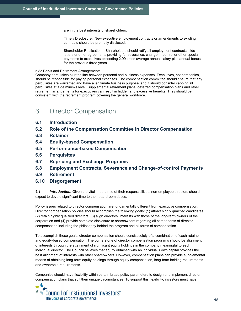are in the best interests of shareholders.

Timely Disclosure: New executive employment contracts or amendments to existing contracts should be promptly disclosed.

Shareholder Ratification: Shareholders should ratify all employment contracts, side letters or other agreements providing for severance, change-in-control or other special payments to executives exceeding 2.99 times average annual salary plus annual bonus for the previous three years.

### 5.8c Perks and Retirement Arrangements

Company perquisites blur the line between personal and business expenses. Executives, not companies, should be responsible for paying personal expenses. The compensation committee should ensure that any perquisites are warranted and have a legitimate business purpose, and it should consider capping all perquisites at a de minimis level. Supplemental retirement plans, deferred compensation plans and other retirement arrangements for executives can result in hidden and excessive benefits. They should be consistent with the retirement program covering the general workforce.

# 6. Director Compensation

- 6.1 Introduction
- 6.2 Role of the Compensation Committee in Director Compensation
- 6.3 Retainer
- 6.4 Equity-based Compensation
- 6.5 Performance-based Compensation
- 6.6 Perquisites
- 6.7 Repricing and Exchange Programs
- 6.8 Employment Contracts, Severance and Change-of-control Payments
- 6.9 Retirement
- 6.10 Disgorgement

6.1 Introduction: Given the vital importance of their responsibilities, non-employee directors should expect to devote significant time to their boardroom duties.

Policy issues related to director compensation are fundamentally different from executive compensation. Director compensation policies should accomplish the following goals: (1) attract highly qualified candidates, (2) retain highly qualified directors, (3) align directors' interests with those of the long-term owners of the corporation and (4) provide complete disclosure to shareowners regarding all components of director compensation including the philosophy behind the program and all forms of compensation.

To accomplish these goals, director compensation should consist solely of a combination of cash retainer and equity-based compensation. The cornerstone of director compensation programs should be alignment of interests through the attainment of significant equity holdings in the company meaningful to each individual director. The Council believes that equity obtained with an individual's own capital provides the best alignment of interests with other shareowners. However, compensation plans can provide supplemental means of obtaining long-term equity holdings through equity compensation, long-term holding requirements and ownership requirements.

Companies should have flexibility within certain broad policy parameters to design and implement director compensation plans that suit their unique circumstances. To support this flexibility, investors must have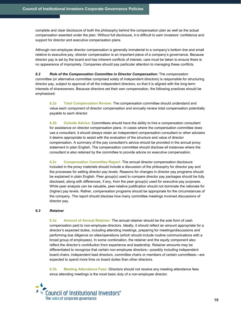complete and clear disclosure of both the philosophy behind the compensation plan as well as the actual compensation awarded under the plan. Without full disclosure, it is difficult to earn investors' confidence and support for director and executive compensation plans.

Although non-employee director compensation is generally immaterial to a company's bottom line and small relative to executive pay, director compensation is an important piece of a company's governance. Because director pay is set by the board and has inherent conflicts of interest, care must be taken to ensure there is no appearance of impropriety. Companies should pay particular attention to managing these conflicts.

6.2 Role of the Compensation Committee in Director Compensation: The compensation committee (or alternative committee comprised solely of independent directors) is responsible for structuring director pay, subject to approval of all the independent directors, so that it is aligned with the long-term interests of shareowners. Because directors set their own compensation, the following practices should be emphasized:

6.2a Total Compensation Review: The compensation committee should understand and value each component of director compensation and annually review total compensation potentially payable to each director.

6.2b Outside Advice: Committees should have the ability to hire a compensation consultant for assistance on director compensation plans. In cases where the compensation committee does use a consultant, it should always retain an independent compensation consultant or other advisers it deems appropriate to assist with the evaluation of the structure and value of director compensation. A summary of the pay consultant's advice should be provided in the annual proxy statement in plain English. The compensation committee should disclose all instances where the consultant is also retained by the committee to provide advice on executive compensation.

6.2c Compensation Committee Report: The annual director compensation disclosure included in the proxy materials should include a discussion of the philosophy for director pay and the processes for setting director pay levels. Reasons for changes in director pay programs should be explained in plain English. Peer group(s) used to compare director pay packages should be fully disclosed, along with differences, if any, from the peer group(s) used for executive pay purposes. While peer analysis can be valuable, peer-relative justification should not dominate the rationale for (higher) pay levels. Rather, compensation programs should be appropriate for the circumstances of the company. The report should disclose how many committee meetings involved discussions of director pay.

### 6.3 Retainer

6.3a Amount of Annual Retainer: The annual retainer should be the sole form of cash compensation paid to non-employee directors. Ideally, it should reflect an amount appropriate for a director's expected duties, including attending meetings, preparing for meetings/discussions and performing due diligence on sites/operations (which should include routine communications with a broad group of employees). In some combination, the retainer and the equity component also reflect the director's contribution from experience and leadership. Retainer amounts may be differentiated to recognize that certain non-employee directors—possibly including independent board chairs, independent lead directors, committee chairs or members of certain committees—are expected to spend more time on board duties than other directors.

6.3b Meeting Attendance Fees: Directors should not receive any meeting attendance fees since attending meetings is the most basic duty of a non-employee director.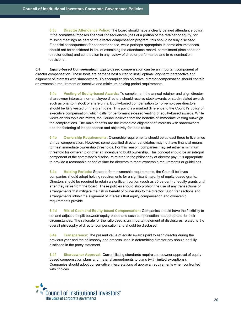6.3c Director Attendance Policy: The board should have a clearly defined attendance policy. If the committee imposes financial consequences (loss of a portion of the retainer or equity) for missing meetings as part of the director compensation program, this should be fully disclosed. Financial consequences for poor attendance, while perhaps appropriate in some circumstances, should not be considered in lieu of examining the attendance record, commitment (time spent on director duties) and contribution in any review of director performance and in re-nomination decisions.

6.4 Equity-based Compensation: Equity-based compensation can be an important component of director compensation. These tools are perhaps best suited to instill optimal long-term perspective and alignment of interests with shareowners. To accomplish this objective, director compensation should contain an ownership requirement or incentive and minimum holding period requirements.

6.4a Vesting of Equity-based Awards: To complement the annual retainer and align directorshareowner interests, non-employee directors should receive stock awards or stock-related awards such as phantom stock or share units. Equity-based compensation to non-employee directors should be fully vested on the grant date. This point is a marked difference to the Council's policy on executive compensation, which calls for performance-based vesting of equity-based awards. While views on this topic are mixed, the Council believes that the benefits of immediate vesting outweigh the complications. The main benefits are the immediate alignment of interests with shareowners and the fostering of independence and objectivity for the director.

6.4b Ownership Requirements: Ownership requirements should be at least three to five times annual compensation. However, some qualified director candidates may not have financial means to meet immediate ownership thresholds. For this reason, companies may set either a minimum threshold for ownership or offer an incentive to build ownership. This concept should be an integral component of the committee's disclosure related to the philosophy of director pay. It is appropriate to provide a reasonable period of time for directors to meet ownership requirements or guidelines.

6.4c Holding Periods: Separate from ownership requirements, the Council believes companies should adopt holding requirements for a significant majority of equity-based grants. Directors should be required to retain a significant portion (such as 80 percent) of equity grants until after they retire from the board. These policies should also prohibit the use of any transactions or arrangements that mitigate the risk or benefit of ownership to the director. Such transactions and arrangements inhibit the alignment of interests that equity compensation and ownership requirements provide.

6.4d Mix of Cash and Equity-based Compensation: Companies should have the flexibility to set and adjust the split between equity-based and cash compensation as appropriate for their circumstances. The rationale for the ratio used is an important element of disclosures related to the overall philosophy of director compensation and should be disclosed.

6.4e Transparency: The present value of equity awards paid to each director during the previous year and the philosophy and process used in determining director pay should be fully disclosed in the proxy statement.

6.4f Shareowner Approval: Current listing standards require shareowner approval of equitybased compensation plans and material amendments to plans (with limited exceptions). Companies should adopt conservative interpretations of approval requirements when confronted with choices.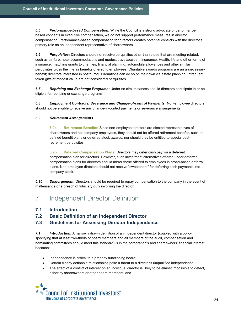6.5 Performance-based Compensation: While the Council is a strong advocate of performancebased concepts in executive compensation, we do not support performance measures in director compensation. Performance-based compensation for directors creates potential conflicts with the director's primary role as an independent representative of shareowners.

6.6 Perquisites: Directors should not receive perquisites other than those that are meeting-related, such as air-fare, hotel accommodations and modest travel/accident insurance. Health, life and other forms of insurance; matching grants to charities; financial planning; automobile allowances and other similar perquisites cross the line as benefits offered to employees. Charitable awards programs are an unnecessary benefit; directors interested in posthumous donations can do so on their own via estate planning. Infrequent token gifts of modest value are not considered perquisites.

6.7 Repricing and Exchange Programs: Under no circumstances should directors participate in or be eligible for repricing or exchange programs.

6.8 Employment Contracts, Severance and Change-of-control Payments: Non-employee directors should not be eligible to receive any change-in-control payments or severance arrangements.

### 6.9 Retirement Arrangements

6.9a Retirement Benefits: Since non-employee directors are elected representatives of shareowners and not company employees, they should not be offered retirement benefits, such as defined benefit plans or deferred stock awards, nor should they be entitled to special postretirement perquisites.

6.9b Deferred Compensation Plans: Directors may defer cash pay via a deferred compensation plan for directors. However, such investment alternatives offered under deferred compensation plans for directors should mirror those offered to employees in broad-based deferral plans. Non-employee directors should not receive "sweeteners" for deferring cash payments into company stock.

6.10 Disgorgement: Directors should be required to repay compensation to the company in the event of malfeasance or a breach of fiduciary duty involving the director.

- 7. Independent Director Definition
- 7.1 Introduction
- 7.2 Basic Definition of an Independent Director

# 7.3 Guidelines for Assessing Director Independence

7.1 Introduction: A narrowly drawn definition of an independent director (coupled with a policy specifying that at least two-thirds of board members and all members of the audit, compensation and nominating committees should meet this standard) is in the corporation's and shareowners' financial interest because:

- Independence is critical to a properly functioning board;
- Certain clearly definable relationships pose a threat to a director's unqualified independence;
- The effect of a conflict of interest on an individual director is likely to be almost impossible to detect, either by shareowners or other board members; and

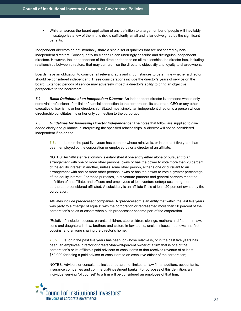While an across-the-board application of any definition to a large number of people will inevitably miscategorize a few of them, this risk is sufficiently small and is far outweighed by the significant benefits.

Independent directors do not invariably share a single set of qualities that are not shared by nonindependent directors. Consequently no clear rule can unerringly describe and distinguish independent directors. However, the independence of the director depends on all relationships the director has, including relationships between directors, that may compromise the director's objectivity and loyalty to shareowners.

Boards have an obligation to consider all relevant facts and circumstances to determine whether a director should be considered independent. These considerations include the director's years of service on the board. Extended periods of service may adversely impact a director's ability to bring an objective perspective to the boardroom.

7.2 Basic Definition of an Independent Director: An independent director is someone whose only nontrivial professional, familial or financial connection to the corporation, its chairman, CEO or any other executive officer is his or her directorship. Stated most simply, an independent director is a person whose directorship constitutes his or her only connection to the corporation.

7.3 Guidelines for Assessing Director Independence: The notes that follow are supplied to give added clarity and guidance in interpreting the specified relationships. A director will not be considered independent if he or she:

7.3a Is, or in the past five years has been, or whose relative is, or in the past five years has been, employed by the corporation or employed by or a director of an affiliate;

NOTES: An "affiliate" relationship is established if one entity either alone or pursuant to an arrangement with one or more other persons, owns or has the power to vote more than 20 percent of the equity interest in another, unless some other person, either alone or pursuant to an arrangement with one or more other persons, owns or has the power to vote a greater percentage of the equity interest. For these purposes, joint venture partners and general partners meet the definition of an affiliate, and officers and employees of joint venture enterprises and general partners are considered affiliated. A subsidiary is an affiliate if it is at least 20 percent owned by the corporation.

Affiliates include predecessor companies. A "predecessor" is an entity that within the last five years was party to a "merger of equals" with the corporation or represented more than 50 percent of the corporation's sales or assets when such predecessor became part of the corporation.

"Relatives" include spouses, parents, children, step-children, siblings, mothers and fathers-in-law, sons and daughters-in-law, brothers and sisters-in-law, aunts, uncles, nieces, nephews and first cousins, and anyone sharing the director's home.

 $7.3<sub>b</sub>$  Is, or in the past five years has been, or whose relative is, or in the past five years has been, an employee, director or greater-than-20-percent owner of a firm that is one of the corporation's or its affiliate's paid advisers or consultants or that receives revenue of at least \$50,000 for being a paid adviser or consultant to an executive officer of the corporation;

NOTES: Advisers or consultants include, but are not limited to, law firms, auditors, accountants, insurance companies and commercial/investment banks. For purposes of this definition, an individual serving "of counsel" to a firm will be considered an employee of that firm.